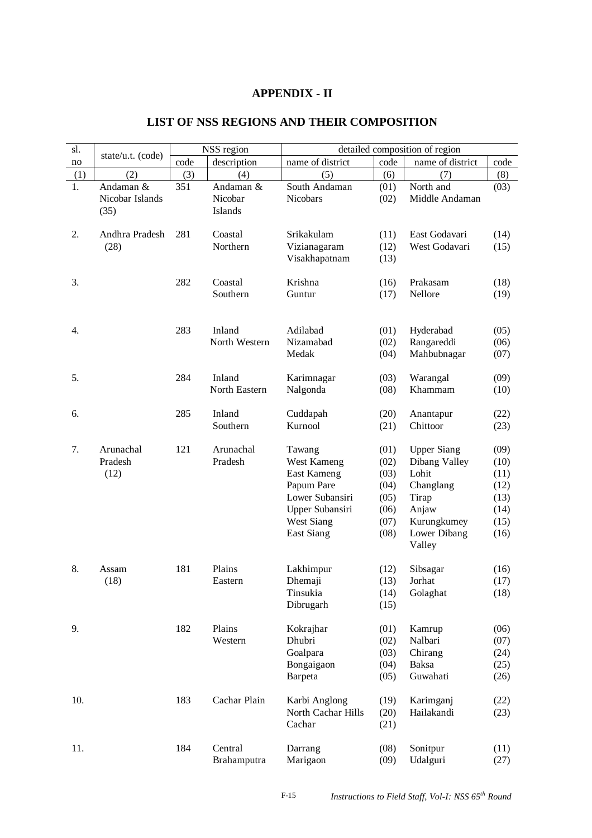## **APPENDIX - II**

| sl. | state/u.t. (code)                    |      | NSS region                      | detailed composition of region                                                                                       |                                                              |                                                                                                                      |                                                              |
|-----|--------------------------------------|------|---------------------------------|----------------------------------------------------------------------------------------------------------------------|--------------------------------------------------------------|----------------------------------------------------------------------------------------------------------------------|--------------------------------------------------------------|
| no  |                                      | code | description                     | name of district                                                                                                     | code                                                         | name of district                                                                                                     | code                                                         |
| (1) | (2)                                  | (3)  | (4)                             | (5)                                                                                                                  | (6)                                                          | (7)                                                                                                                  | (8)                                                          |
| 1.  | Andaman &<br>Nicobar Islands<br>(35) | 351  | Andaman &<br>Nicobar<br>Islands | South Andaman<br><b>Nicobars</b>                                                                                     | (01)<br>(02)                                                 | North and<br>Middle Andaman                                                                                          | (03)                                                         |
| 2.  | Andhra Pradesh<br>(28)               | 281  | Coastal<br>Northern             | Srikakulam<br>Vizianagaram<br>Visakhapatnam                                                                          | (11)<br>(12)<br>(13)                                         | East Godavari<br>West Godavari                                                                                       | (14)<br>(15)                                                 |
| 3.  |                                      | 282  | Coastal<br>Southern             | Krishna<br>Guntur                                                                                                    | (16)<br>(17)                                                 | Prakasam<br>Nellore                                                                                                  | (18)<br>(19)                                                 |
| 4.  |                                      | 283  | Inland<br>North Western         | Adilabad<br>Nizamabad<br>Medak                                                                                       | (01)<br>(02)<br>(04)                                         | Hyderabad<br>Rangareddi<br>Mahbubnagar                                                                               | (05)<br>(06)<br>(07)                                         |
| 5.  |                                      | 284  | Inland<br>North Eastern         | Karimnagar<br>Nalgonda                                                                                               | (03)<br>(08)                                                 | Warangal<br>Khammam                                                                                                  | (09)<br>(10)                                                 |
| 6.  |                                      | 285  | Inland<br>Southern              | Cuddapah<br>Kurnool                                                                                                  | (20)<br>(21)                                                 | Anantapur<br>Chittoor                                                                                                | (22)<br>(23)                                                 |
| 7.  | Arunachal<br>Pradesh<br>(12)         | 121  | Arunachal<br>Pradesh            | Tawang<br>West Kameng<br>East Kameng<br>Papum Pare<br>Lower Subansiri<br>Upper Subansiri<br>West Siang<br>East Siang | (01)<br>(02)<br>(03)<br>(04)<br>(05)<br>(06)<br>(07)<br>(08) | <b>Upper Siang</b><br>Dibang Valley<br>Lohit<br>Changlang<br>Tirap<br>Anjaw<br>Kurungkumey<br>Lower Dibang<br>Valley | (09)<br>(10)<br>(11)<br>(12)<br>(13)<br>(14)<br>(15)<br>(16) |
| 8.  | Assam<br>(18)                        | 181  | Plains<br>Eastern               | Lakhimpur<br>Dhemaji<br>Tinsukia<br>Dibrugarh                                                                        | (12)<br>(13)<br>(14)<br>(15)                                 | Sibsagar<br>Jorhat<br>Golaghat                                                                                       | (16)<br>(17)<br>(18)                                         |
| 9.  |                                      | 182  | Plains<br>Western               | Kokrajhar<br>Dhubri<br>Goalpara<br>Bongaigaon<br>Barpeta                                                             | (01)<br>(02)<br>(03)<br>(04)<br>(05)                         | Kamrup<br>Nalbari<br>Chirang<br>Baksa<br>Guwahati                                                                    | (06)<br>(07)<br>(24)<br>(25)<br>(26)                         |
| 10. |                                      | 183  | Cachar Plain                    | Karbi Anglong<br>North Cachar Hills<br>Cachar                                                                        | (19)<br>(20)<br>(21)                                         | Karimganj<br>Hailakandi                                                                                              | (22)<br>(23)                                                 |
| 11. |                                      | 184  | Central                         | Darrang                                                                                                              | (08)                                                         | Sonitpur                                                                                                             | (11)                                                         |

## **LIST OF NSS REGIONS AND THEIR COMPOSITION**

Brahamputra Marigaon (09) Udalguri (27)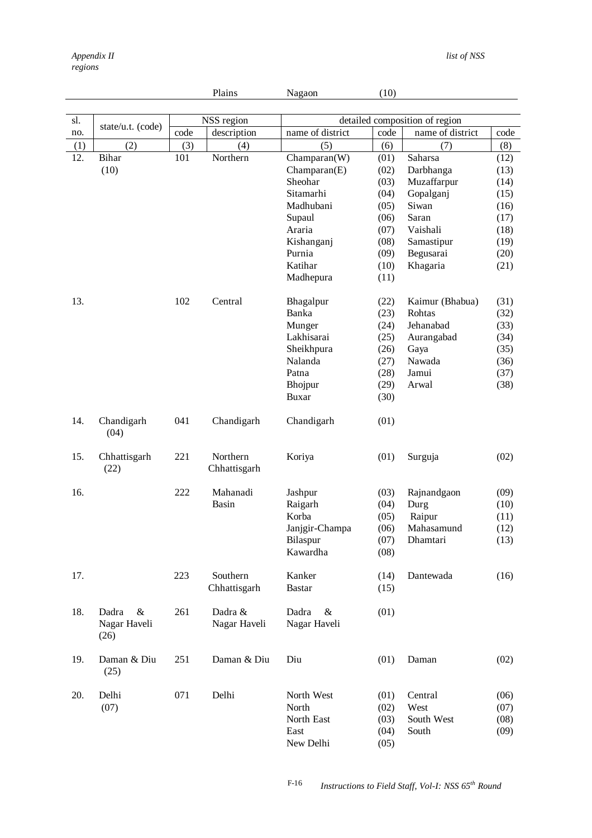|     |                                    |      | Plains                   | Nagaon                                                 | (10)                                 |                                        |                              |
|-----|------------------------------------|------|--------------------------|--------------------------------------------------------|--------------------------------------|----------------------------------------|------------------------------|
|     |                                    |      |                          |                                                        |                                      |                                        |                              |
| sl. | state/u.t. (code)                  |      | NSS region               |                                                        |                                      | detailed composition of region         |                              |
| no. |                                    | code | description              | name of district                                       | code                                 | name of district                       | code                         |
| (1) | (2)                                | (3)  | (4)                      | (5)                                                    | (6)                                  | (7)                                    | (8)                          |
| 12. | Bihar                              | 101  | Northern                 | Champaran(W)                                           | (01)                                 | Saharsa                                | (12)                         |
|     | (10)                               |      |                          | Champaran(E)                                           | (02)                                 | Darbhanga                              | (13)                         |
|     |                                    |      |                          | Sheohar                                                | (03)                                 | Muzaffarpur                            | (14)                         |
|     |                                    |      |                          | Sitamarhi                                              | (04)                                 | Gopalganj                              | (15)                         |
|     |                                    |      |                          | Madhubani                                              | (05)                                 | Siwan                                  | (16)                         |
|     |                                    |      |                          | Supaul                                                 | (06)                                 | Saran                                  | (17)                         |
|     |                                    |      |                          | Araria                                                 | (07)                                 | Vaishali                               | (18)                         |
|     |                                    |      |                          | Kishanganj                                             | (08)                                 | Samastipur                             | (19)                         |
|     |                                    |      |                          | Purnia                                                 | (09)                                 | Begusarai                              | (20)                         |
|     |                                    |      |                          | Katihar                                                | (10)                                 | Khagaria                               | (21)                         |
|     |                                    |      |                          | Madhepura                                              | (11)                                 |                                        |                              |
|     |                                    |      |                          |                                                        |                                      |                                        |                              |
| 13. |                                    | 102  | Central                  | Bhagalpur                                              | (22)                                 | Kaimur (Bhabua)                        | (31)                         |
|     |                                    |      |                          | Banka                                                  | (23)                                 | Rohtas                                 | (32)                         |
|     |                                    |      |                          | Munger                                                 | (24)                                 | Jehanabad                              | (33)                         |
|     |                                    |      |                          | Lakhisarai                                             | (25)                                 | Aurangabad                             | (34)                         |
|     |                                    |      |                          | Sheikhpura                                             | (26)                                 | Gaya                                   | (35)                         |
|     |                                    |      |                          | Nalanda                                                | (27)                                 | Nawada                                 | (36)                         |
|     |                                    |      |                          | Patna                                                  | (28)                                 | Jamui                                  | (37)                         |
|     |                                    |      |                          | Bhojpur                                                | (29)                                 | Arwal                                  | (38)                         |
|     |                                    |      |                          | <b>Buxar</b>                                           | (30)                                 |                                        |                              |
|     |                                    |      |                          |                                                        |                                      |                                        |                              |
| 14. | Chandigarh<br>(04)                 | 041  | Chandigarh               | Chandigarh                                             | (01)                                 |                                        |                              |
| 15. | Chhattisgarh<br>(22)               | 221  | Northern<br>Chhattisgarh | Koriya                                                 | (01)                                 | Surguja                                | (02)                         |
| 16. |                                    | 222  | Mahanadi                 | Jashpur                                                | (03)                                 | Rajnandgaon                            | (09)                         |
|     |                                    |      | Basin                    | Raigarh                                                | (04)                                 | Durg                                   | (10)                         |
|     |                                    |      |                          | Korba                                                  | (05)                                 | Raipur                                 | (11)                         |
|     |                                    |      |                          |                                                        |                                      | Mahasamund                             |                              |
|     |                                    |      |                          | Janjgir-Champa                                         | (06)<br>(07)                         | Dhamtari                               | (12)<br>(13)                 |
|     |                                    |      |                          | Bilaspur<br>Kawardha                                   | (08)                                 |                                        |                              |
|     |                                    |      |                          |                                                        |                                      |                                        |                              |
| 17. |                                    | 223  | Southern<br>Chhattisgarh | Kanker<br><b>Bastar</b>                                | (14)<br>(15)                         | Dantewada                              | (16)                         |
| 18. | Dadra<br>&<br>Nagar Haveli<br>(26) | 261  | Dadra &<br>Nagar Haveli  | Dadra<br>$\&$<br>Nagar Haveli                          | (01)                                 |                                        |                              |
| 19. | Daman & Diu<br>(25)                | 251  | Daman & Diu              | Diu                                                    | (01)                                 | Daman                                  | (02)                         |
| 20. | Delhi<br>(07)                      | 071  | Delhi                    | North West<br>North<br>North East<br>East<br>New Delhi | (01)<br>(02)<br>(03)<br>(04)<br>(05) | Central<br>West<br>South West<br>South | (06)<br>(07)<br>(08)<br>(09) |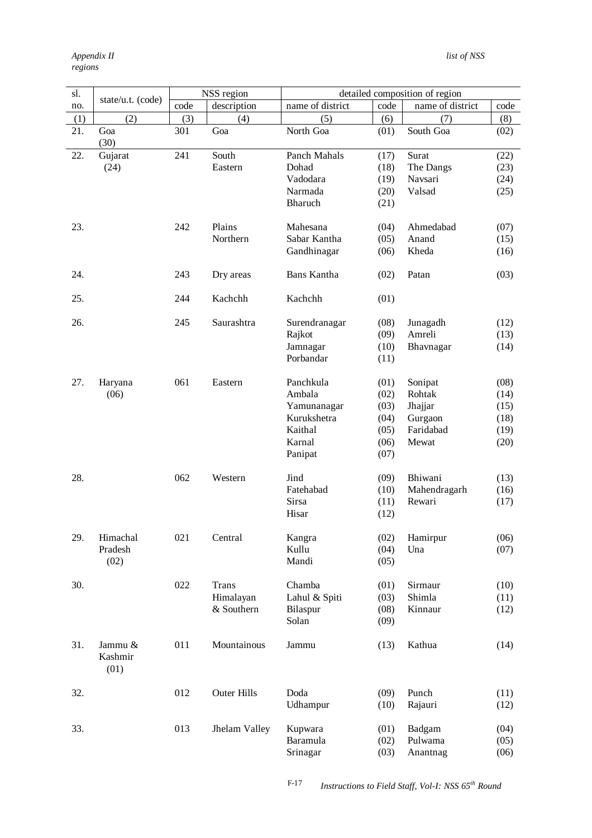| sl. |                            |      | NSS region         |                            |              | detailed composition of region |              |
|-----|----------------------------|------|--------------------|----------------------------|--------------|--------------------------------|--------------|
| no. | state/u.t. (code)          | code | description        | name of district           | code         | name of district               | code         |
| (1) | (2)                        | (3)  | (4)                | (5)                        | (6)          | (7)                            | (8)          |
| 21. | Goa                        | 301  | Goa                | North Goa                  | (01)         | South Goa                      | (02)         |
|     | (30)                       |      |                    |                            |              |                                |              |
| 22. | Gujarat                    | 241  | South              | Panch Mahals               | (17)         | Surat                          | (22)         |
|     | (24)                       |      | Eastern            | Dohad                      | (18)         | The Dangs                      | (23)         |
|     |                            |      |                    | Vadodara                   | (19)         | Navsari                        | (24)         |
|     |                            |      |                    | Narmada                    | (20)         | Valsad                         | (25)         |
|     |                            |      |                    | Bharuch                    | (21)         |                                |              |
| 23. |                            | 242  | Plains             | Mahesana                   | (04)         | Ahmedabad                      | (07)         |
|     |                            |      | Northern           | Sabar Kantha               | (05)         | Anand                          | (15)         |
|     |                            |      |                    | Gandhinagar                | (06)         | Kheda                          | (16)         |
|     |                            |      |                    |                            |              |                                |              |
| 24. |                            | 243  | Dry areas          | Bans Kantha                | (02)         | Patan                          | (03)         |
| 25. |                            | 244  | Kachchh            | Kachchh                    | (01)         |                                |              |
|     |                            |      |                    |                            |              |                                |              |
| 26. |                            | 245  | Saurashtra         | Surendranagar              | (08)         | Junagadh                       | (12)         |
|     |                            |      |                    | Rajkot                     | (09)         | Amreli                         | (13)         |
|     |                            |      |                    | Jamnagar                   | (10)         | Bhavnagar                      | (14)         |
|     |                            |      |                    | Porbandar                  | (11)         |                                |              |
|     |                            |      |                    |                            |              |                                |              |
| 27. | Haryana                    | 061  | Eastern            | Panchkula<br>Ambala        | (01)         | Sonipat<br>Rohtak              | (08)         |
|     | (06)                       |      |                    |                            | (02)         |                                | (14)         |
|     |                            |      |                    | Yamunanagar<br>Kurukshetra | (03)<br>(04) | Jhajjar<br>Gurgaon             | (15)<br>(18) |
|     |                            |      |                    | Kaithal                    | (05)         | Faridabad                      | (19)         |
|     |                            |      |                    | Karnal                     | (06)         | Mewat                          | (20)         |
|     |                            |      |                    | Panipat                    | (07)         |                                |              |
|     |                            |      |                    |                            |              |                                |              |
| 28. |                            | 062  | Western            | Jind                       | (09)         | Bhiwani                        | (13)         |
|     |                            |      |                    | Fatehabad                  | (10)         | Mahendragarh                   | (16)         |
|     |                            |      |                    | <b>Sirsa</b>               | (11)         | Rewari                         | (17)         |
|     |                            |      |                    | Hisar                      | (12)         |                                |              |
|     |                            |      |                    |                            |              |                                |              |
| 29. | Himachal                   | 021  | Central            | Kangra                     | (02)         | Hamirpur<br>Una                | (06)         |
|     | Pradesh<br>(02)            |      |                    | Kullu<br>Mandi             | (04)         |                                | (07)         |
|     |                            |      |                    |                            | (05)         |                                |              |
| 30. |                            | 022  | <b>Trans</b>       | Chamba                     | (01)         | Sirmaur                        | (10)         |
|     |                            |      | Himalayan          | Lahul & Spiti              | (03)         | Shimla                         | (11)         |
|     |                            |      | & Southern         | Bilaspur                   | (08)         | Kinnaur                        | (12)         |
|     |                            |      |                    | Solan                      | (09)         |                                |              |
|     |                            |      |                    |                            |              |                                |              |
| 31. | Jammu &<br>Kashmir<br>(01) | 011  | Mountainous        | Jammu                      | (13)         | Kathua                         | (14)         |
| 32. |                            | 012  | <b>Outer Hills</b> | Doda                       | (09)         | Punch                          | (11)         |
|     |                            |      |                    | Udhampur                   | (10)         | Rajauri                        | (12)         |
|     |                            |      |                    |                            |              |                                |              |
| 33. |                            | 013  | Jhelam Valley      | Kupwara                    | (01)         | Badgam                         | (04)         |
|     |                            |      |                    | Baramula                   | (02)         | Pulwama                        | (05)         |
|     |                            |      |                    | Srinagar                   | (03)         | Anantnag                       | (06)         |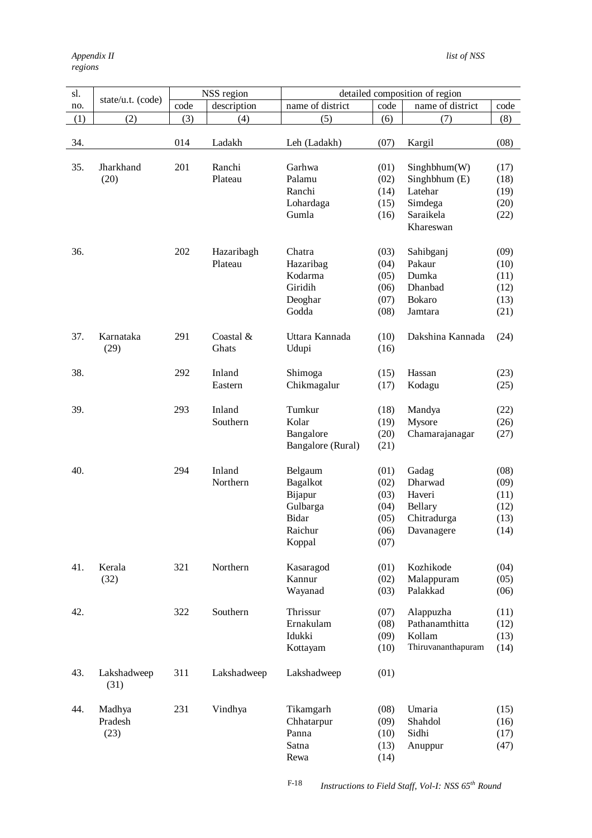| sl. |                   | NSS region |             | detailed composition of region |      |                    |      |  |
|-----|-------------------|------------|-------------|--------------------------------|------|--------------------|------|--|
| no. | state/u.t. (code) | code       | description | name of district               | code | name of district   | code |  |
| (1) | (2)               | (3)        | (4)         | (5)                            | (6)  | (7)                | (8)  |  |
|     |                   |            |             |                                |      |                    |      |  |
| 34. |                   | 014        | Ladakh      | Leh (Ladakh)                   | (07) | Kargil             | (08) |  |
|     |                   |            |             |                                |      |                    |      |  |
| 35. | Jharkhand         | 201        | Ranchi      | Garhwa                         | (01) | Singhbhum(W)       | (17) |  |
|     | (20)              |            | Plateau     | Palamu                         | (02) | Singhbhum (E)      | (18) |  |
|     |                   |            |             | Ranchi                         | (14) | Latehar            | (19) |  |
|     |                   |            |             | Lohardaga                      | (15) | Simdega            | (20) |  |
|     |                   |            |             | Gumla                          | (16) | Saraikela          | (22) |  |
|     |                   |            |             |                                |      | Khareswan          |      |  |
|     |                   |            |             |                                |      |                    |      |  |
| 36. |                   | 202        | Hazaribagh  | Chatra                         | (03) | Sahibganj          | (09) |  |
|     |                   |            | Plateau     | Hazaribag                      | (04) | Pakaur             | (10) |  |
|     |                   |            |             | Kodarma                        | (05) | Dumka              | (11) |  |
|     |                   |            |             | Giridih                        | (06) | Dhanbad            | (12) |  |
|     |                   |            |             | Deoghar                        | (07) | Bokaro             | (13) |  |
|     |                   |            |             | Godda                          | (08) | Jamtara            | (21) |  |
|     |                   |            |             |                                |      |                    |      |  |
| 37. | Karnataka         | 291        | Coastal &   | Uttara Kannada                 | (10) | Dakshina Kannada   | (24) |  |
|     | (29)              |            | Ghats       | Udupi                          | (16) |                    |      |  |
|     |                   |            |             |                                |      |                    |      |  |
| 38. |                   | 292        | Inland      | Shimoga                        | (15) | Hassan             | (23) |  |
|     |                   |            | Eastern     | Chikmagalur                    | (17) | Kodagu             | (25) |  |
|     |                   |            |             |                                |      |                    |      |  |
| 39. |                   | 293        | Inland      | Tumkur                         | (18) | Mandya             | (22) |  |
|     |                   |            | Southern    | Kolar                          | (19) | Mysore             | (26) |  |
|     |                   |            |             | Bangalore                      | (20) | Chamarajanagar     | (27) |  |
|     |                   |            |             | Bangalore (Rural)              | (21) |                    |      |  |
|     |                   |            |             |                                |      |                    |      |  |
| 40. |                   | 294        | Inland      | Belgaum                        | (01) | Gadag              | (08) |  |
|     |                   |            | Northern    | <b>Bagalkot</b>                | (02) | Dharwad            | (09) |  |
|     |                   |            |             | Bijapur                        | (03) | Haveri             | (11) |  |
|     |                   |            |             | Gulbarga                       | (04) | Bellary            | (12) |  |
|     |                   |            |             | Bidar                          | (05) | Chitradurga        | (13) |  |
|     |                   |            |             | Raichur                        | (06) | Davanagere         | (14) |  |
|     |                   |            |             | Koppal                         | (07) |                    |      |  |
|     |                   |            |             |                                |      |                    |      |  |
| 41. | Kerala            | 321        | Northern    | Kasaragod                      | (01) | Kozhikode          | (04) |  |
|     | (32)              |            |             | Kannur                         | (02) | Malappuram         | (05) |  |
|     |                   |            |             | Wayanad                        | (03) | Palakkad           | (06) |  |
| 42. |                   | 322        | Southern    | Thrissur                       | (07) | Alappuzha          | (11) |  |
|     |                   |            |             | Ernakulam                      | (08) | Pathanamthitta     | (12) |  |
|     |                   |            |             | Idukki                         | (09) | Kollam             | (13) |  |
|     |                   |            |             | Kottayam                       | (10) | Thiruvananthapuram | (14) |  |
|     |                   |            |             |                                |      |                    |      |  |
| 43. | Lakshadweep       | 311        | Lakshadweep | Lakshadweep                    | (01) |                    |      |  |
|     | (31)              |            |             |                                |      |                    |      |  |
|     |                   |            |             |                                |      |                    |      |  |
| 44. | Madhya            | 231        | Vindhya     | Tikamgarh                      | (08) | Umaria             | (15) |  |
|     | Pradesh           |            |             | Chhatarpur                     | (09) | Shahdol            | (16) |  |
|     | (23)              |            |             | Panna                          | (10) | Sidhi              | (17) |  |
|     |                   |            |             | Satna                          | (13) | Anuppur            | (47) |  |
|     |                   |            |             | Rewa                           | (14) |                    |      |  |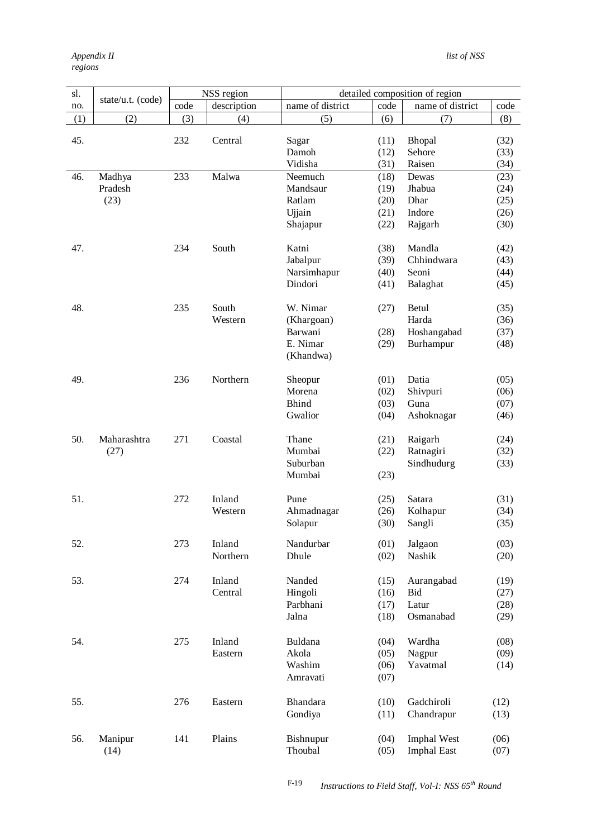| sl. |                   |      | NSS region  |                  |      | detailed composition of region |      |
|-----|-------------------|------|-------------|------------------|------|--------------------------------|------|
| no. | state/u.t. (code) | code | description | name of district | code | name of district               | code |
| (1) | (2)               | (3)  | (4)         | (5)              | (6)  | (7)                            | (8)  |
|     |                   |      |             |                  |      |                                |      |
| 45. |                   | 232  | Central     | Sagar            | (11) | Bhopal                         | (32) |
|     |                   |      |             | Damoh            | (12) | Sehore                         | (33) |
|     |                   |      |             | Vidisha          | (31) | Raisen                         | (34) |
| 46. | Madhya            | 233  | Malwa       | Neemuch          | (18) | Dewas                          | (23) |
|     | Pradesh           |      |             | Mandsaur         | (19) | Jhabua                         | (24) |
|     | (23)              |      |             | Ratlam           | (20) | Dhar                           | (25) |
|     |                   |      |             | Ujjain           | (21) | Indore                         | (26) |
|     |                   |      |             | Shajapur         | (22) | Rajgarh                        | (30) |
| 47. |                   | 234  | South       | Katni            | (38) | Mandla                         | (42) |
|     |                   |      |             | Jabalpur         | (39) | Chhindwara                     | (43) |
|     |                   |      |             | Narsimhapur      | (40) | Seoni                          | (44) |
|     |                   |      |             | Dindori          | (41) | Balaghat                       | (45) |
| 48. |                   | 235  | South       | W. Nimar         | (27) | Betul                          | (35) |
|     |                   |      | Western     | (Khargoan)       |      | Harda                          | (36) |
|     |                   |      |             | Barwani          | (28) | Hoshangabad                    | (37) |
|     |                   |      |             | E. Nimar         | (29) | Burhampur                      | (48) |
|     |                   |      |             | (Khandwa)        |      |                                |      |
|     |                   |      |             |                  |      |                                |      |
| 49. |                   | 236  | Northern    | Sheopur          | (01) | Datia                          | (05) |
|     |                   |      |             | Morena           | (02) | Shivpuri                       | (06) |
|     |                   |      |             | <b>Bhind</b>     | (03) | Guna                           | (07) |
|     |                   |      |             | Gwalior          | (04) | Ashoknagar                     | (46) |
| 50. | Maharashtra       | 271  | Coastal     | Thane            | (21) | Raigarh                        | (24) |
|     | (27)              |      |             | Mumbai           | (22) | Ratnagiri                      | (32) |
|     |                   |      |             | Suburban         |      | Sindhudurg                     | (33) |
|     |                   |      |             | Mumbai           | (23) |                                |      |
|     |                   |      |             |                  |      |                                |      |
| 51. |                   | 272  | Inland      | Pune             | (25) | Satara                         | (31) |
|     |                   |      | Western     | Ahmadnagar       | (26) | Kolhapur                       | (34) |
|     |                   |      |             | Solapur          | (30) | Sangli                         | (35) |
| 52. |                   | 273  | Inland      | Nandurbar        | (01) | Jalgaon                        | (03) |
|     |                   |      | Northern    | Dhule            | (02) | Nashik                         | (20) |
| 53. |                   | 274  | Inland      | Nanded           | (15) | Aurangabad                     | (19) |
|     |                   |      | Central     | Hingoli          | (16) | Bid                            | (27) |
|     |                   |      |             | Parbhani         | (17) | Latur                          | (28) |
|     |                   |      |             | Jalna            | (18) | Osmanabad                      | (29) |
|     |                   |      |             |                  |      |                                |      |
| 54. |                   | 275  | Inland      | Buldana          | (04) | Wardha                         | (08) |
|     |                   |      | Eastern     | Akola            | (05) | Nagpur                         | (09) |
|     |                   |      |             | Washim           | (06) | Yavatmal                       | (14) |
|     |                   |      |             | Amravati         | (07) |                                |      |
| 55. |                   | 276  | Eastern     | Bhandara         | (10) | Gadchiroli                     | (12) |
|     |                   |      |             | Gondiya          | (11) | Chandrapur                     | (13) |
| 56. | Manipur           | 141  | Plains      | Bishnupur        | (04) | <b>Imphal West</b>             | (06) |
|     | (14)              |      |             | Thoubal          | (05) | <b>Imphal East</b>             | (07) |
|     |                   |      |             |                  |      |                                |      |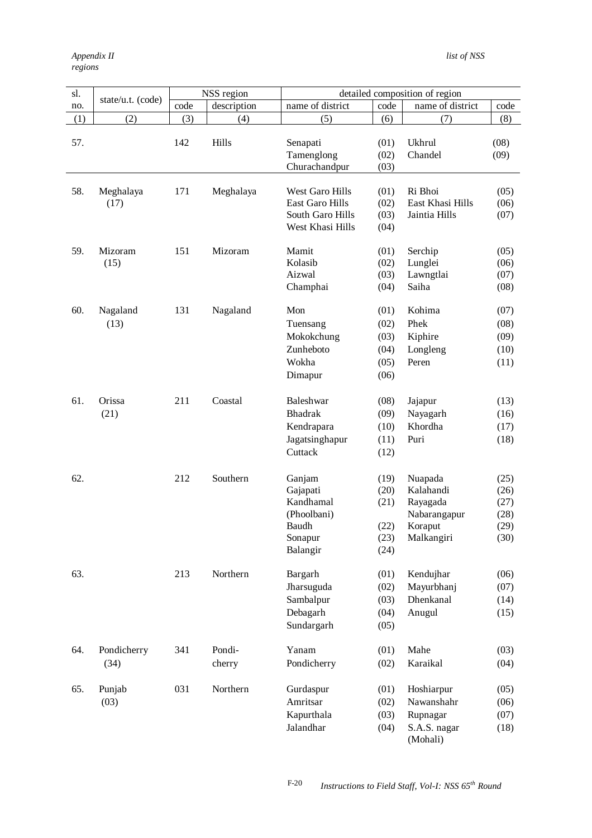| sl. |                     | NSS region |                  | detailed composition of region                                                    |                                              |                                                                           |                                              |
|-----|---------------------|------------|------------------|-----------------------------------------------------------------------------------|----------------------------------------------|---------------------------------------------------------------------------|----------------------------------------------|
| no. | state/u.t. (code)   | code       | description      | name of district                                                                  | code                                         | name of district                                                          | code                                         |
| (1) | (2)                 | (3)        | (4)              | (5)                                                                               | (6)                                          | (7)                                                                       | (8)                                          |
| 57. |                     | 142        | Hills            | Senapati<br>Tamenglong<br>Churachandpur                                           | (01)<br>(02)<br>(03)                         | Ukhrul<br>Chandel                                                         | (08)<br>(09)                                 |
| 58. | Meghalaya<br>(17)   | 171        | Meghalaya        | West Garo Hills<br><b>East Garo Hills</b><br>South Garo Hills<br>West Khasi Hills | (01)<br>(02)<br>(03)<br>(04)                 | Ri Bhoi<br>East Khasi Hills<br>Jaintia Hills                              | (05)<br>(06)<br>(07)                         |
| 59. | Mizoram<br>(15)     | 151        | Mizoram          | Mamit<br>Kolasib<br>Aizwal<br>Champhai                                            | (01)<br>(02)<br>(03)<br>(04)                 | Serchip<br>Lunglei<br>Lawngtlai<br>Saiha                                  | (05)<br>(06)<br>(07)<br>(08)                 |
| 60. | Nagaland<br>(13)    | 131        | Nagaland         | Mon<br>Tuensang<br>Mokokchung<br>Zunheboto<br>Wokha<br>Dimapur                    | (01)<br>(02)<br>(03)<br>(04)<br>(05)<br>(06) | Kohima<br>Phek<br>Kiphire<br>Longleng<br>Peren                            | (07)<br>(08)<br>(09)<br>(10)<br>(11)         |
| 61. | Orissa<br>(21)      | 211        | Coastal          | Baleshwar<br><b>Bhadrak</b><br>Kendrapara<br>Jagatsinghapur<br>Cuttack            | (08)<br>(09)<br>(10)<br>(11)<br>(12)         | Jajapur<br>Nayagarh<br>Khordha<br>Puri                                    | (13)<br>(16)<br>(17)<br>(18)                 |
| 62. |                     | 212        | Southern         | Ganjam<br>Gajapati<br>Kandhamal<br>(Phoolbani)<br>Baudh<br>Sonapur<br>Balangir    | (19)<br>(20)<br>(21)<br>(22)<br>(23)<br>(24) | Nuapada<br>Kalahandi<br>Rayagada<br>Nabarangapur<br>Koraput<br>Malkangiri | (25)<br>(26)<br>(27)<br>(28)<br>(29)<br>(30) |
| 63. |                     | 213        | Northern         | Bargarh<br>Jharsuguda<br>Sambalpur<br>Debagarh<br>Sundargarh                      | (01)<br>(02)<br>(03)<br>(04)<br>(05)         | Kendujhar<br>Mayurbhanj<br>Dhenkanal<br>Anugul                            | (06)<br>(07)<br>(14)<br>(15)                 |
| 64. | Pondicherry<br>(34) | 341        | Pondi-<br>cherry | Yanam<br>Pondicherry                                                              | (01)<br>(02)                                 | Mahe<br>Karaikal                                                          | (03)<br>(04)                                 |
| 65. | Punjab<br>(03)      | 031        | Northern         | Gurdaspur<br>Amritsar<br>Kapurthala<br>Jalandhar                                  | (01)<br>(02)<br>(03)<br>(04)                 | Hoshiarpur<br>Nawanshahr<br>Rupnagar<br>S.A.S. nagar<br>(Mohali)          | (05)<br>(06)<br>(07)<br>(18)                 |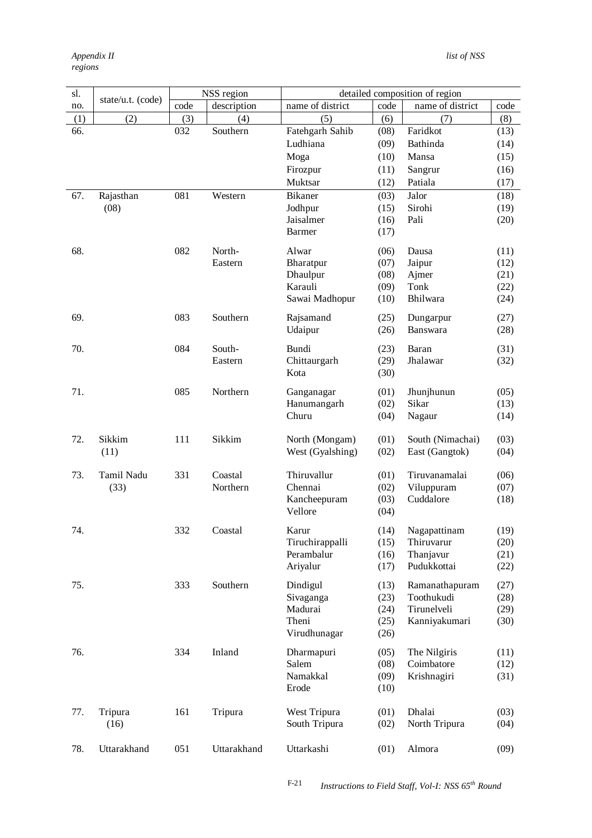| sl. |                   |      | NSS region  |                  |              | detailed composition of region |              |
|-----|-------------------|------|-------------|------------------|--------------|--------------------------------|--------------|
| no. | state/u.t. (code) | code | description | name of district | code         | name of district               | code         |
| (1) | (2)               | (3)  | (4)         | (5)              | (6)          | (7)                            | (8)          |
| 66. |                   | 032  | Southern    | Fatehgarh Sahib  | (08)         | Faridkot                       | (13)         |
|     |                   |      |             | Ludhiana         | (09)         | Bathinda                       | (14)         |
|     |                   |      |             | Moga             | (10)         | Mansa                          | (15)         |
|     |                   |      |             | Firozpur         | (11)         | Sangrur                        | (16)         |
|     |                   |      |             | Muktsar          | (12)         | Patiala                        | (17)         |
| 67. |                   | 081  | Western     | <b>Bikaner</b>   |              | Jalor                          |              |
|     | Rajasthan<br>(08) |      |             | Jodhpur          | (03)<br>(15) | Sirohi                         | (18)<br>(19) |
|     |                   |      |             | Jaisalmer        | (16)         | Pali                           | (20)         |
|     |                   |      |             | <b>Barmer</b>    | (17)         |                                |              |
|     |                   |      |             |                  |              |                                |              |
| 68. |                   | 082  | North-      | Alwar            | (06)         | Dausa                          | (11)         |
|     |                   |      | Eastern     | Bharatpur        | (07)         | Jaipur                         | (12)         |
|     |                   |      |             | Dhaulpur         | (08)         | Ajmer                          | (21)         |
|     |                   |      |             | Karauli          | (09)         | Tonk                           | (22)         |
|     |                   |      |             | Sawai Madhopur   | (10)         | Bhilwara                       | (24)         |
|     |                   |      |             |                  |              |                                |              |
| 69. |                   | 083  | Southern    | Rajsamand        | (25)         | Dungarpur                      | (27)         |
|     |                   |      |             | Udaipur          | (26)         | Banswara                       | (28)         |
| 70. |                   | 084  | South-      | Bundi            | (23)         | Baran                          | (31)         |
|     |                   |      | Eastern     | Chittaurgarh     | (29)         | Jhalawar                       | (32)         |
|     |                   |      |             | Kota             | (30)         |                                |              |
|     |                   |      |             |                  |              |                                |              |
| 71. |                   | 085  | Northern    | Ganganagar       | (01)         | Jhunjhunun                     | (05)         |
|     |                   |      |             | Hanumangarh      | (02)         | Sikar                          | (13)         |
|     |                   |      |             | Churu            | (04)         | Nagaur                         | (14)         |
|     | Sikkim            |      | Sikkim      |                  |              |                                |              |
| 72. |                   | 111  |             | North (Mongam)   | (01)         | South (Nimachai)               | (03)         |
|     | (11)              |      |             | West (Gyalshing) | (02)         | East (Gangtok)                 | (04)         |
| 73. | Tamil Nadu        | 331  | Coastal     | Thiruvallur      | (01)         | Tiruvanamalai                  | (06)         |
|     | (33)              |      | Northern    | Chennai          | (02)         | Viluppuram                     | (07)         |
|     |                   |      |             | Kancheepuram     | (03)         | Cuddalore                      | (18)         |
|     |                   |      |             | Vellore          | (04)         |                                |              |
|     |                   |      |             |                  |              |                                |              |
| 74. |                   | 332  | Coastal     | Karur            | (14)         | Nagapattinam                   | (19)         |
|     |                   |      |             | Tiruchirappalli  | (15)         | Thiruvarur                     | (20)         |
|     |                   |      |             | Perambalur       | (16)         | Thanjavur                      | (21)         |
|     |                   |      |             | Ariyalur         | (17)         | Pudukkottai                    | (22)         |
| 75. |                   | 333  | Southern    | Dindigul         | (13)         | Ramanathapuram                 | (27)         |
|     |                   |      |             | Sivaganga        |              | Toothukudi                     | (28)         |
|     |                   |      |             | Madurai          | (23)<br>(24) | Tirunelveli                    | (29)         |
|     |                   |      |             | Theni            | (25)         | Kanniyakumari                  | (30)         |
|     |                   |      |             | Virudhunagar     | (26)         |                                |              |
|     |                   |      |             |                  |              |                                |              |
| 76. |                   | 334  | Inland      | Dharmapuri       | (05)         | The Nilgiris                   | (11)         |
|     |                   |      |             | Salem            | (08)         | Coimbatore                     | (12)         |
|     |                   |      |             | Namakkal         | (09)         | Krishnagiri                    | (31)         |
|     |                   |      |             | Erode            | (10)         |                                |              |
|     |                   |      |             |                  |              |                                |              |
| 77. | Tripura           | 161  | Tripura     | West Tripura     | (01)         | Dhalai                         | (03)         |
|     | (16)              |      |             | South Tripura    | (02)         | North Tripura                  | (04)         |
|     |                   |      |             |                  |              |                                |              |
| 78. | Uttarakhand       | 051  | Uttarakhand | Uttarkashi       | (01)         | Almora                         | (09)         |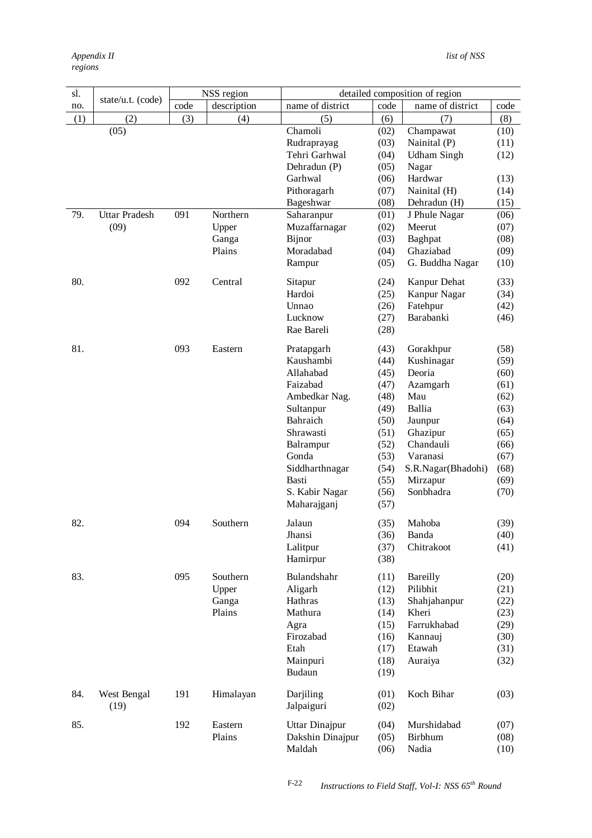| sl. |                      |      | NSS region  |                  |      | detailed composition of region |      |
|-----|----------------------|------|-------------|------------------|------|--------------------------------|------|
| no. | state/u.t. (code)    | code | description | name of district | code | name of district               | code |
| (1) | (2)                  | (3)  | (4)         | (5)              | (6)  | (7)                            | (8)  |
|     | (05)                 |      |             | Chamoli          | (02) | Champawat                      | (10) |
|     |                      |      |             | Rudraprayag      | (03) | Nainital (P)                   | (11) |
|     |                      |      |             | Tehri Garhwal    | (04) | <b>Udham Singh</b>             | (12) |
|     |                      |      |             | Dehradun (P)     | (05) | Nagar                          |      |
|     |                      |      |             | Garhwal          | (06) | Hardwar                        | (13) |
|     |                      |      |             | Pithoragarh      | (07) | Nainital (H)                   | (14) |
|     |                      |      |             | Bageshwar        | (08) | Dehradun (H)                   | (15) |
| 79. | <b>Uttar Pradesh</b> | 091  | Northern    | Saharanpur       | (01) | J Phule Nagar                  | (06) |
|     | (09)                 |      | Upper       | Muzaffarnagar    | (02) | Meerut                         | (07) |
|     |                      |      | Ganga       | Bijnor           | (03) | Baghpat                        | (08) |
|     |                      |      | Plains      | Moradabad        | (04) | Ghaziabad                      | (09) |
|     |                      |      |             | Rampur           | (05) | G. Buddha Nagar                | (10) |
| 80. |                      | 092  | Central     | Sitapur          | (24) | Kanpur Dehat                   | (33) |
|     |                      |      |             | Hardoi           | (25) | Kanpur Nagar                   | (34) |
|     |                      |      |             | Unnao            | (26) | Fatehpur                       | (42) |
|     |                      |      |             | Lucknow          | (27) | Barabanki                      | (46) |
|     |                      |      |             | Rae Bareli       | (28) |                                |      |
| 81. |                      | 093  | Eastern     | Pratapgarh       | (43) | Gorakhpur                      | (58) |
|     |                      |      |             | Kaushambi        | (44) | Kushinagar                     | (59) |
|     |                      |      |             | Allahabad        | (45) | Deoria                         | (60) |
|     |                      |      |             | Faizabad         | (47) | Azamgarh                       | (61) |
|     |                      |      |             | Ambedkar Nag.    | (48) | Mau                            | (62) |
|     |                      |      |             | Sultanpur        | (49) | Ballia                         | (63) |
|     |                      |      |             | Bahraich         | (50) | Jaunpur                        | (64) |
|     |                      |      |             | Shrawasti        | (51) | Ghazipur                       | (65) |
|     |                      |      |             | Balrampur        | (52) | Chandauli                      | (66) |
|     |                      |      |             | Gonda            | (53) | Varanasi                       | (67) |
|     |                      |      |             | Siddharthnagar   | (54) | S.R.Nagar(Bhadohi)             | (68) |
|     |                      |      |             | Basti            | (55) | Mirzapur                       | (69) |
|     |                      |      |             | S. Kabir Nagar   | (56) | Sonbhadra                      | (70) |
|     |                      |      |             | Maharajganj      | (57) |                                |      |
| 82. |                      | 094  | Southern    | Jalaun           | (35) | Mahoba                         | (39) |
|     |                      |      |             | Jhansi           | (36) | Banda                          | (40) |
|     |                      |      |             | Lalitpur         | (37) | Chitrakoot                     | (41) |
|     |                      |      |             | Hamirpur         | (38) |                                |      |
| 83. |                      | 095  | Southern    | Bulandshahr      | (11) | Bareilly                       | (20) |
|     |                      |      | Upper       | Aligarh          | (12) | Pilibhit                       | (21) |
|     |                      |      | Ganga       | Hathras          | (13) | Shahjahanpur                   | (22) |
|     |                      |      | Plains      | Mathura          | (14) | Kheri                          | (23) |
|     |                      |      |             | Agra             | (15) | Farrukhabad                    | (29) |
|     |                      |      |             | Firozabad        | (16) | Kannauj                        | (30) |
|     |                      |      |             | Etah             | (17) | Etawah                         | (31) |
|     |                      |      |             | Mainpuri         | (18) | Auraiya                        | (32) |
|     |                      |      |             | Budaun           | (19) |                                |      |
| 84. | West Bengal          | 191  | Himalayan   | Darjiling        | (01) | Koch Bihar                     | (03) |
|     | (19)                 |      |             | Jalpaiguri       | (02) |                                |      |
| 85. |                      | 192  | Eastern     | Uttar Dinajpur   | (04) | Murshidabad                    | (07) |
|     |                      |      | Plains      | Dakshin Dinajpur | (05) | Birbhum                        | (08) |
|     |                      |      |             | Maldah           | (06) | Nadia                          | (10) |